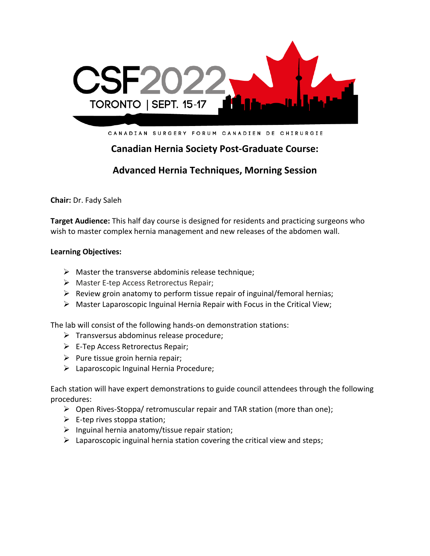

CANADIAN SURGERY FORUM CANADIEN DE CHIRURGIE

# **Canadian Hernia Society Post-Graduate Course:**

## **Advanced Hernia Techniques, Morning Session**

**Chair:** Dr. Fady Saleh

**Target Audience:** This half day course is designed for residents and practicing surgeons who wish to master complex hernia management and new releases of the abdomen wall.

#### **Learning Objectives:**

- $\triangleright$  Master the transverse abdominis release technique;
- ➢ Master E-tep Access Retrorectus Repair;
- $\triangleright$  Review groin anatomy to perform tissue repair of inguinal/femoral hernias;
- ➢ Master Laparoscopic Inguinal Hernia Repair with Focus in the Critical View;

The lab will consist of the following hands-on demonstration stations:

- ➢ Transversus abdominus release procedure;
- $\triangleright$  E-Tep Access Retrorectus Repair;
- $\triangleright$  Pure tissue groin hernia repair;
- $\triangleright$  Laparoscopic Inguinal Hernia Procedure;

Each station will have expert demonstrations to guide council attendees through the following procedures:

- $\triangleright$  Open Rives-Stoppa/ retromuscular repair and TAR station (more than one);
- $\triangleright$  E-tep rives stoppa station;
- $\triangleright$  Inguinal hernia anatomy/tissue repair station;
- $\triangleright$  Laparoscopic inguinal hernia station covering the critical view and steps;